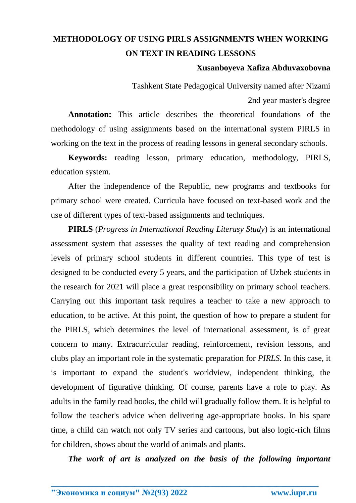# **METHODOLOGY OF USING PIRLS ASSIGNMENTS WHEN WORKING ON TEXT IN READING LESSONS**

### **Xusanboyeva Xafiza Abduvaxobovna**

Tashkent State Pedagogical University named after Nizami 2nd year master's degree

**Annotation:** This article describes the theoretical foundations of the methodology of using assignments based on the international system PIRLS in working on the text in the process of reading lessons in general secondary schools.

**Keywords:** reading lesson, primary education, methodology, PIRLS, education system.

After the independence of the Republic, new programs and textbooks for primary school were created. Curricula have focused on text-based work and the use of different types of text-based assignments and techniques.

**PIRLS** (*Progress in International Reading Literasy Study*) is an international assessment system that assesses the quality of text reading and comprehension levels of primary school students in different countries. This type of test is designed to be conducted every 5 years, and the participation of Uzbek students in the research for 2021 will place a great responsibility on primary school teachers. Carrying out this important task requires a teacher to take a new approach to education, to be active. At this point, the question of how to prepare a student for the PIRLS, which determines the level of international assessment, is of great concern to many. Extracurricular reading, reinforcement, revision lessons, and clubs play an important role in the systematic preparation for *PIRLS.* In this case, it is important to expand the student's worldview, independent thinking, the development of figurative thinking. Of course, parents have a role to play. As adults in the family read books, the child will gradually follow them. It is helpful to follow the teacher's advice when delivering age-appropriate books. In his spare time, a child can watch not only TV series and cartoons, but also logic-rich films for children, shows about the world of animals and plants.

*The work of art is analyzed on the basis of the following important*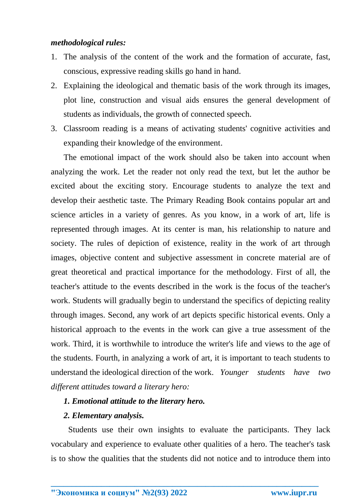## *methodological rules:*

- 1. The analysis of the content of the work and the formation of accurate, fast, conscious, expressive reading skills go hand in hand.
- 2. Explaining the ideological and thematic basis of the work through its images, plot line, construction and visual aids ensures the general development of students as individuals, the growth of connected speech.
- 3. Classroom reading is a means of activating students' cognitive activities and expanding their knowledge of the environment.

The emotional impact of the work should also be taken into account when analyzing the work. Let the reader not only read the text, but let the author be excited about the exciting story. Encourage students to analyze the text and develop their aesthetic taste. The Primary Reading Book contains popular art and science articles in a variety of genres. As you know, in a work of art, life is represented through images. At its center is man, his relationship to nature and society. The rules of depiction of existence, reality in the work of art through images, objective content and subjective assessment in concrete material are of great theoretical and practical importance for the methodology. First of all, the teacher's attitude to the events described in the work is the focus of the teacher's work. Students will gradually begin to understand the specifics of depicting reality through images. Second, any work of art depicts specific historical events. Only a historical approach to the events in the work can give a true assessment of the work. Third, it is worthwhile to introduce the writer's life and views to the age of the students. Fourth, in analyzing a work of art, it is important to teach students to understand the ideological direction of the work. *Younger students have two different attitudes toward a literary hero:*

# *1. Emotional attitude to the literary hero.*

# *2. Elementary analysis.*

Students use their own insights to evaluate the participants. They lack vocabulary and experience to evaluate other qualities of a hero. The teacher's task is to show the qualities that the students did not notice and to introduce them into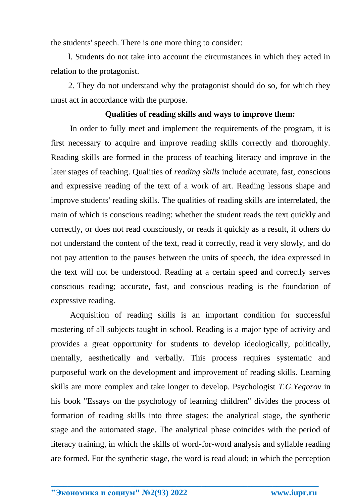the students' speech. There is one more thing to consider:

l. Students do not take into account the circumstances in which they acted in relation to the protagonist.

2. They do not understand why the protagonist should do so, for which they must act in accordance with the purpose.

#### **Qualities of reading skills and ways to improve them:**

In order to fully meet and implement the requirements of the program, it is first necessary to acquire and improve reading skills correctly and thoroughly. Reading skills are formed in the process of teaching literacy and improve in the later stages of teaching. Qualities of *reading skills* include accurate, fast, conscious and expressive reading of the text of a work of art. Reading lessons shape and improve students' reading skills. The qualities of reading skills are interrelated, the main of which is conscious reading: whether the student reads the text quickly and correctly, or does not read consciously, or reads it quickly as a result, if others do not understand the content of the text, read it correctly, read it very slowly, and do not pay attention to the pauses between the units of speech, the idea expressed in the text will not be understood. Reading at a certain speed and correctly serves conscious reading; accurate, fast, and conscious reading is the foundation of expressive reading.

Acquisition of reading skills is an important condition for successful mastering of all subjects taught in school. Reading is a major type of activity and provides a great opportunity for students to develop ideologically, politically, mentally, aesthetically and verbally. This process requires systematic and purposeful work on the development and improvement of reading skills. Learning skills are more complex and take longer to develop. Psychologist *T.G.Yegorov* in his book "Essays on the psychology of learning children" divides the process of formation of reading skills into three stages: the analytical stage, the synthetic stage and the automated stage. The analytical phase coincides with the period of literacy training, in which the skills of word-for-word analysis and syllable reading are formed. For the synthetic stage, the word is read aloud; in which the perception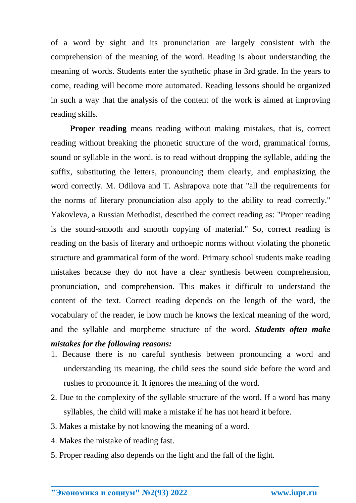of a word by sight and its pronunciation are largely consistent with the comprehension of the meaning of the word. Reading is about understanding the meaning of words. Students enter the synthetic phase in 3rd grade. In the years to come, reading will become more automated. Reading lessons should be organized in such a way that the analysis of the content of the work is aimed at improving reading skills.

**Proper reading** means reading without making mistakes, that is, correct reading without breaking the phonetic structure of the word, grammatical forms, sound or syllable in the word. is to read without dropping the syllable, adding the suffix, substituting the letters, pronouncing them clearly, and emphasizing the word correctly. M. Odilova and T. Ashrapova note that "all the requirements for the norms of literary pronunciation also apply to the ability to read correctly." Yakovleva, a Russian Methodist, described the correct reading as: "Proper reading is the sound-smooth and smooth copying of material." So, correct reading is reading on the basis of literary and orthoepic norms without violating the phonetic structure and grammatical form of the word. Primary school students make reading mistakes because they do not have a clear synthesis between comprehension, pronunciation, and comprehension. This makes it difficult to understand the content of the text. Correct reading depends on the length of the word, the vocabulary of the reader, ie how much he knows the lexical meaning of the word, and the syllable and morpheme structure of the word. *Students often make mistakes for the following reasons:*

- 1. Because there is no careful synthesis between pronouncing a word and understanding its meaning, the child sees the sound side before the word and rushes to pronounce it. It ignores the meaning of the word.
- 2. Due to the complexity of the syllable structure of the word. If a word has many syllables, the child will make a mistake if he has not heard it before.

- 3. Makes a mistake by not knowing the meaning of a word.
- 4. Makes the mistake of reading fast.
- 5. Proper reading also depends on the light and the fall of the light.